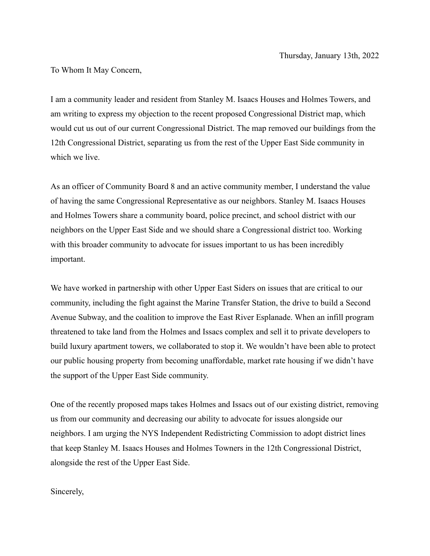To Whom It May Concern,

I am a community leader and resident from Stanley M. Isaacs Houses and Holmes Towers, and am writing to express my objection to the recent proposed Congressional District map, which would cut us out of our current Congressional District. The map removed our buildings from the 12th Congressional District, separating us from the rest of the Upper East Side community in which we live.

As an officer of Community Board 8 and an active community member, I understand the value of having the same Congressional Representative as our neighbors. Stanley M. Isaacs Houses and Holmes Towers share a community board, police precinct, and school district with our neighbors on the Upper East Side and we should share a Congressional district too. Working with this broader community to advocate for issues important to us has been incredibly important.

We have worked in partnership with other Upper East Siders on issues that are critical to our community, including the fight against the Marine Transfer Station, the drive to build a Second Avenue Subway, and the coalition to improve the East River Esplanade. When an infill program threatened to take land from the Holmes and Issacs complex and sell it to private developers to build luxury apartment towers, we collaborated to stop it. We wouldn't have been able to protect our public housing property from becoming unaffordable, market rate housing if we didn't have the support of the Upper East Side community.

One of the recently proposed maps takes Holmes and Issacs out of our existing district, removing us from our community and decreasing our ability to advocate for issues alongside our neighbors. I am urging the NYS Independent Redistricting Commission to adopt district lines that keep Stanley M. Isaacs Houses and Holmes Towners in the 12th Congressional District, alongside the rest of the Upper East Side.

Sincerely,